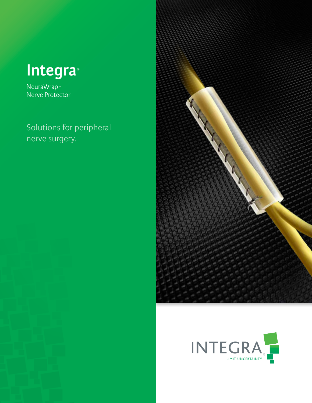

NeuraWrap™ Nerve Protector

Solutions for peripheral nerve surgery.



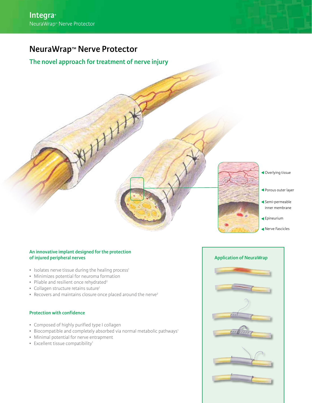# **NeuraWrap™ Nerve Protector**

# **The novel approach for treatment of nerve injury**

Overlying tissue

- Porous outer layer
- Semi-permeable inner membrane
- Epineurium
- Nerve Fascicles

# **An innovative implant designed for the protection of injured peripheral nerves**

- Isolates nerve tissue during the healing process<sup>1</sup>
- Minimizes potential for neuroma formation
- Pliable and resilient once rehydrated<sup>2</sup>
- Collagen structure retains suture<sup>1</sup>
- Recovers and maintains closure once placed around the nerve<sup>2</sup>

## **Protection with confidence**

- Composed of highly purified type I collagen
- Biocompatible and completely absorbed via normal metabolic pathways<sup>1</sup>
- Minimal potential for nerve entrapment
- Excellent tissue compatibility<sup>1</sup>

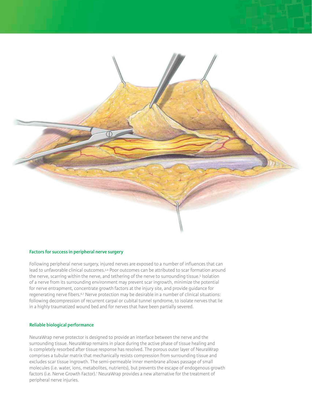

#### **Factors for success in peripheral nerve surgery**

Following peripheral nerve surgery, injured nerves are exposed to a number of influences that can lead to unfavorable clinical outcomes.3,4 Poor outcomes can be attributed to scar formation around the nerve, scarring within the nerve, and tethering of the nerve to surrounding tissue.<sup>5</sup> Isolation of a nerve from its surrounding environment may prevent scar ingrowth, minimize the potential for nerve entrapment, concentrate growth factors at the injury site, and provide guidance for regenerating nerve fibers.<sup>6,7</sup> Nerve protection may be desirable in a number of clinical situations: following decompression of recurrent carpal or cubital tunnel syndrome, to isolate nerves that lie in a highly traumatized wound bed and for nerves that have been partially severed.

### **Reliable biological performance**

NeuraWrap nerve protector is designed to provide an interface between the nerve and the surrounding tissue. NeuraWrap remains in place during the active phase of tissue healing and is completely resorbed after tissue response has resolved. The porous outer layer of NeuraWrap comprises a tubular matrix that mechanically resists compression from surrounding tissue and excludes scar tissue ingrowth. The semi-permeable inner membrane allows passage of small molecules (i.e. water, ions, metabolites, nutrients), but prevents the escape of endogenous growth factors (i.e. Nerve Growth Factor).<sup>1</sup> NeuraWrap provides a new alternative for the treatment of peripheral nerve injuries.